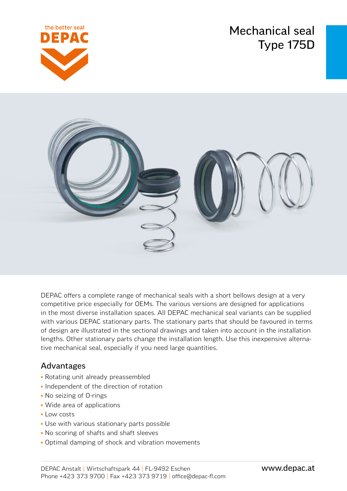Mechanical seal Type 175D





DEPAC offers a complete range of mechanical seals with a short bellows design at a very competitive price especially for OEMs. The various versions are designed for applications in the most diverse installation spaces. All DEPAC mechanical seal variants can be supplied with various DEPAC stationary parts. The stationary parts that should be favoured in terms of design are illustrated in the sectional drawings and taken into account in the installation lengths. Other stationary parts change the installation length. Use this inexpensive alternative mechanical seal, especially if you need large quantities.

## Advantages

- Rotating unit already preassembled
- Independent of the direction of rotation
- No seizing of O-rings
- Wide area of applications
- Low costs
- Use with various stationary parts possible
- No scoring of shafts and shaft sleeves
- Optimal damping of shock and vibration movements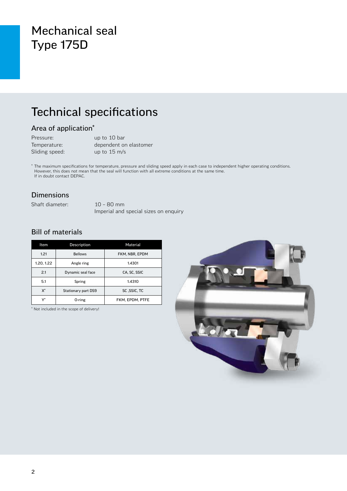# Mechanical seal Type 175D

# Technical specifications

### Area of application\*

| Pressure:      | up to 10 bar           |
|----------------|------------------------|
| Temperature:   | dependent on elastomer |
| Sliding speed: | up to $15 \text{ m/s}$ |

\* The maximum specifications for temperature, pressure and sliding speed apply in each case to independent higher operating conditions. However, this does not mean that the seal will function with all extreme conditions at the same time. If in doubt contact DEPAC.

#### Dimensions

Shaft diameter: 10 – 80 mm

Imperial and special sizes on enquiry

### Bill of materials

| Item       | Description         | Material        |  |  |
|------------|---------------------|-----------------|--|--|
| 1.21       | <b>Bellows</b>      | FKM, NBR, EPDM  |  |  |
| 1.20, 1.22 | Angle ring          | 1.4301          |  |  |
| 2.1        | Dynamic seal face   | CA, SC, SSIC    |  |  |
| 5.1        | Spring              | 1.4310          |  |  |
| X*         | Stationary part DS9 | SC .SSIC. TC    |  |  |
| v*         | 0-ring              | FKM. EPDM. PTFE |  |  |

\* Not included in the scope of delivery!